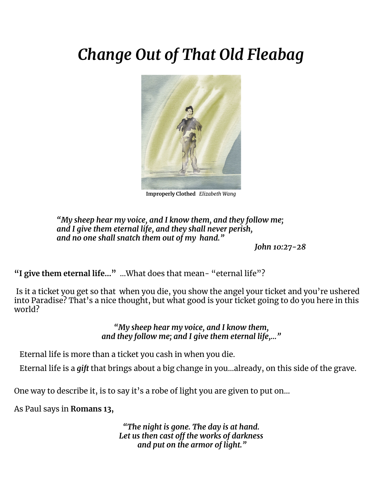# *Change Out of That Old Fleabag*



**Improperly Clothed** *Elizabeth Wang*

*"My sheep hear my voice, and I know them, and they follow me; and I give them eternal life, and they shall never perish, and no one shall snatch them out of my hand."*

*John 10:27-28*

**"I give them eternal life…"** ...What does that mean- "eternal life"?

Is it a ticket you get so that when you die, you show the angel your ticket and you're ushered into Paradise? That's a nice thought, but what good is your ticket going to do you here in this world?

> *"My sheep hear my voice, and I know them, and they follow me; and I give them eternal life,…"*

Eternal life is more than a ticket you cash in when you die.

Eternal life is a *gift* that brings about a big change in you…already, on this side of the grave.

One way to describe it, is to say it's a robe of light you are given to put on…

As Paul says in **Romans 13,**

*"The night is gone. The day is at hand. Let us then cast off the works of darkness and put on the armor of light."*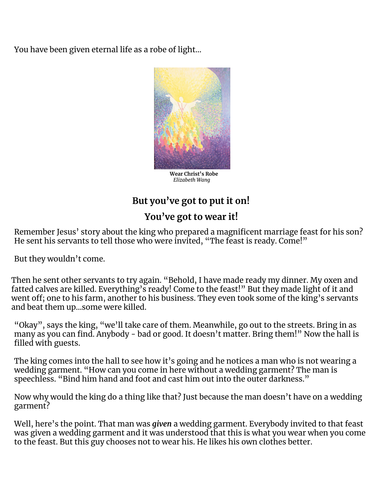You have been given eternal life as a robe of light…



**Wear Christ's Robe** *Elizabeth Wang*

## **But you've got to put it on!**

### **You've got to wear it!**

Remember Jesus' story about the king who prepared a magnificent marriage feast for his son? He sent his servants to tell those who were invited, "The feast is ready. Come!"

But they wouldn't come.

Then he sent other servants to try again. "Behold, I have made ready my dinner. My oxen and fatted calves are killed. Everything's ready! Come to the feast!" But they made light of it and went off; one to his farm, another to his business. They even took some of the king's servants and beat them up…some were killed.

"Okay", says the king, "we'll take care of them. Meanwhile, go out to the streets. Bring in as many as you can find. Anybody - bad or good. It doesn't matter. Bring them!" Now the hall is filled with guests.

The king comes into the hall to see how it's going and he notices a man who is not wearing a wedding garment. "How can you come in here without a wedding garment? The man is speechless. "Bind him hand and foot and cast him out into the outer darkness."

Now why would the king do a thing like that? Just because the man doesn't have on a wedding garment?

Well, here's the point. That man was *given* a wedding garment. Everybody invited to that feast was given a wedding garment and it was understood that this is what you wear when you come to the feast. But this guy chooses not to wear his. He likes his own clothes better.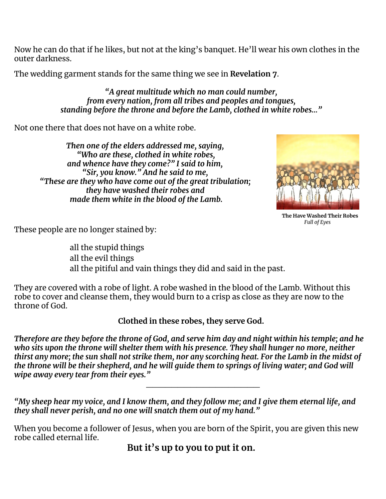Now he can do that if he likes, but not at the king's banquet. He'll wear his own clothes in the outer darkness.

The wedding garment stands for the same thing we see in **Revelation 7**.

*"A great multitude which no man could number, from every nation, from all tribes and peoples and tongues, standing before the throne and before the Lamb, clothed in white robes…"*

Not one there that does not have on a white robe.

*Then one of the elders addressed me, saying, "Who are these, clothed in white robes, and whence have they come?" I said to him, "Sir, you know." And he said to me, "These are they who have come out of the great tribulation; they have washed their robes and made them white in the blood of the Lamb.*



**The Have Washed Their Robes** *Full of Eyes*

These people are no longer stained by:

all the stupid things all the evil things all the pitiful and vain things they did and said in the past.

They are covered with a robe of light. A robe washed in the blood of the Lamb. Without this robe to cover and cleanse them, they would burn to a crisp as close as they are now to the throne of God.

**Clothed in these robes, they serve God.**

Therefore are they before the throne of God, and serve him day and night within his temple; and he *who sits upon the throne will shelter them with his presence. They shall hunger no more, neither* thirst any more; the sun shall not strike them, nor any scorching heat. For the Lamb in the midst of the throne will be their shepherd, and he will quide them to springs of living water; and God will *wipe away every tear from their eyes."*

 $\_$ 

"My sheep hear my voice, and I know them, and they follow me; and I give them eternal life, and *they shall never perish, and no one will snatch them out of my hand."*

When you become a follower of Jesus, when you are born of the Spirit, you are given this new robe called eternal life.

**But it's up to you to put it on.**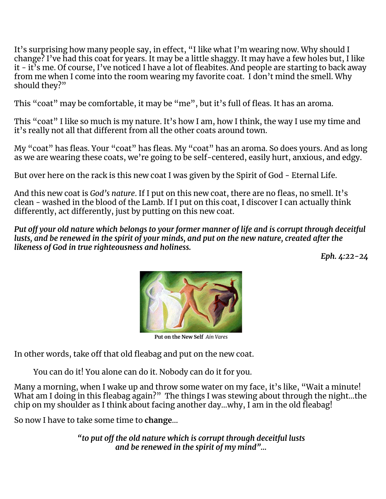It's surprising how many people say, in effect, "I like what I'm wearing now. Why should I change? I've had this coat for years. It may be a little shaggy. It may have a few holes but, I like it - it's me. Of course, I've noticed I have a lot of fleabites. And people are starting to back away from me when I come into the room wearing my favorite coat. I don't mind the smell. Why should they?"

This "coat" may be comfortable, it may be "me", but it's full of fleas. It has an aroma.

This "coat" I like so much is my nature. It's how I am, how I think, the way I use my time and it's really not all that different from all the other coats around town.

My "coat" has fleas. Your "coat" has fleas. My "coat" has an aroma. So does yours. And as long as we are wearing these coats, we're going to be self-centered, easily hurt, anxious, and edgy.

But over here on the rack is this new coat I was given by the Spirit of God - Eternal Life.

And this new coat is *God's nature*. If I put on this new coat, there are no fleas, no smell. It's clean - washed in the blood of the Lamb. If I put on this coat, I discover I can actually think differently, act differently, just by putting on this new coat.

Put off your old nature which belongs to your former manner of life and is corrupt through deceitful lusts, and be renewed in the spirit of your minds, and put on the new nature, created after the *likeness of God in true righteousness and holiness.*

*Eph. 4:22-24*



**Put on the New Self** *Ain Vares*

In other words, take off that old fleabag and put on the new coat.

You can do it! You alone can do it. Nobody can do it for you.

Many a morning, when I wake up and throw some water on my face, it's like, "Wait a minute! What am I doing in this fleabag again?" The things I was stewing about through the night…the chip on my shoulder as I think about facing another day…why, I am in the old fleabag!

So now I have to take some time to **change**...

*"to put off the old nature which is corrupt through deceitful lusts and be renewed in the spirit of my mind"…*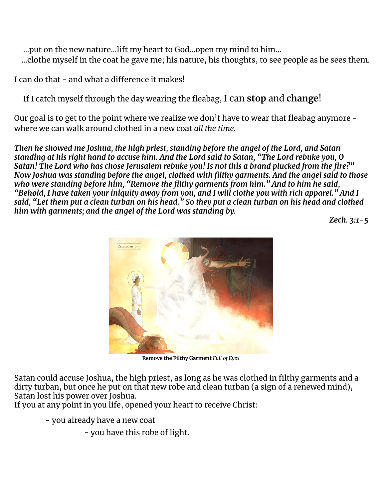…put on the new nature…lift my heart to God…open my mind to him… ...clothe myself in the coat he gave me; his nature, his thoughts, to see people as he sees them.

I can do that - and what a difference it makes!

If I catch myself through the day wearing the fleabag, I can **stop** and **change**!

Our goal is to get to the point where we realize we don't have to wear that fleabag anymore where we can walk around clothed in a new coat *all the time.*

*Then he showed me Joshua, the high priest, standing before the angel of the Lord, and Satan* standing at his right hand to accuse him. And the Lord said to Satan, "The Lord rebuke you, O *Satan! The Lord who has chose Jerusalem rebuke you! Is not this a brand plucked from the fire?" Now Joshua was standing before the angel, clothed with filthy garments. And the angel said to those who were standing before him, "Remove the filthy garments from him." And to him he said,* "Behold, I have taken your iniquity away from you, and I will clothe you with rich apparel." And I said, "Let them put a clean turban on his head." So they put a clean turban on his head and clothed *him with garments; and the angel of the Lord was standing by.*

*Zech. 3:1-5*



**Remove the Filthy Garment** *Full of Eyes*

Satan could accuse Joshua, the high priest, as long as he was clothed in filthy garments and a dirty turban, but once he put on that new robe and clean turban (a sign of a renewed mind), Satan lost his power over Joshua.

If you at any point in you life, opened your heart to receive Christ:

- you already have a new coat

- you have this robe of light.